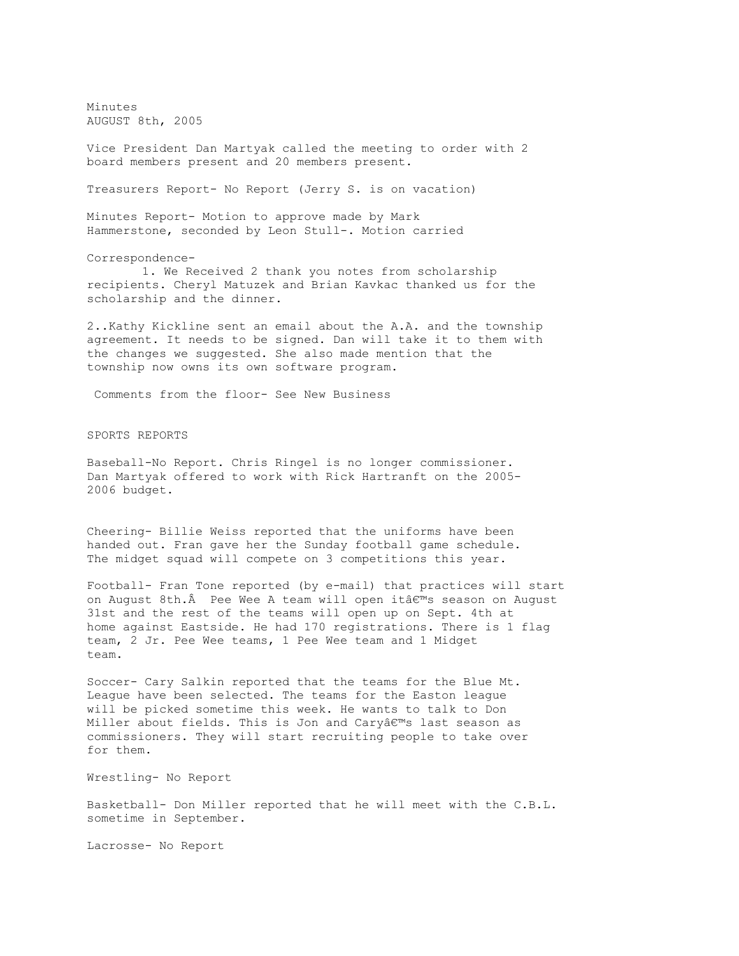Minutes AUGUST 8th, 2005

Vice President Dan Martyak called the meeting to order with 2 board members present and 20 members present.

Treasurers Report- No Report (Jerry S. is on vacation)

Minutes Report- Motion to approve made by Mark Hammerstone, seconded by Leon Stull-. Motion carried

Correspondence-

1. We Received 2 thank you notes from scholarship recipients. Cheryl Matuzek and Brian Kavkac thanked us for the scholarship and the dinner.

2..Kathy Kickline sent an email about the A.A. and the township agreement. It needs to be signed. Dan will take it to them with the changes we suggested. She also made mention that the township now owns its own software program.

Comments from the floor- See New Business

SPORTS REPORTS

Baseball-No Report. Chris Ringel is no longer commissioner. Dan Martyak offered to work with Rick Hartranft on the 2005- 2006 budget.

Cheering- Billie Weiss reported that the uniforms have been handed out. Fran gave her the Sunday football game schedule. The midget squad will compete on 3 competitions this year.

Football- Fran Tone reported (by e-mail) that practices will start on August 8th. $\hat{A}$  Pee Wee A team will open it $\hat{a}\in\mathbb{R}^m$ s season on August 31st and the rest of the teams will open up on Sept. 4th at home against Eastside. He had 170 registrations. There is 1 flag team, 2 Jr. Pee Wee teams, 1 Pee Wee team and 1 Midget team.

Soccer- Cary Salkin reported that the teams for the Blue Mt. League have been selected. The teams for the Easton league will be picked sometime this week. He wants to talk to Don Miller about fields. This is Jon and Caryâ $\epsilon$ <sup>m</sup>s last season as commissioners. They will start recruiting people to take over for them.

Wrestling- No Report

Basketball- Don Miller reported that he will meet with the C.B.L. sometime in September.

Lacrosse- No Report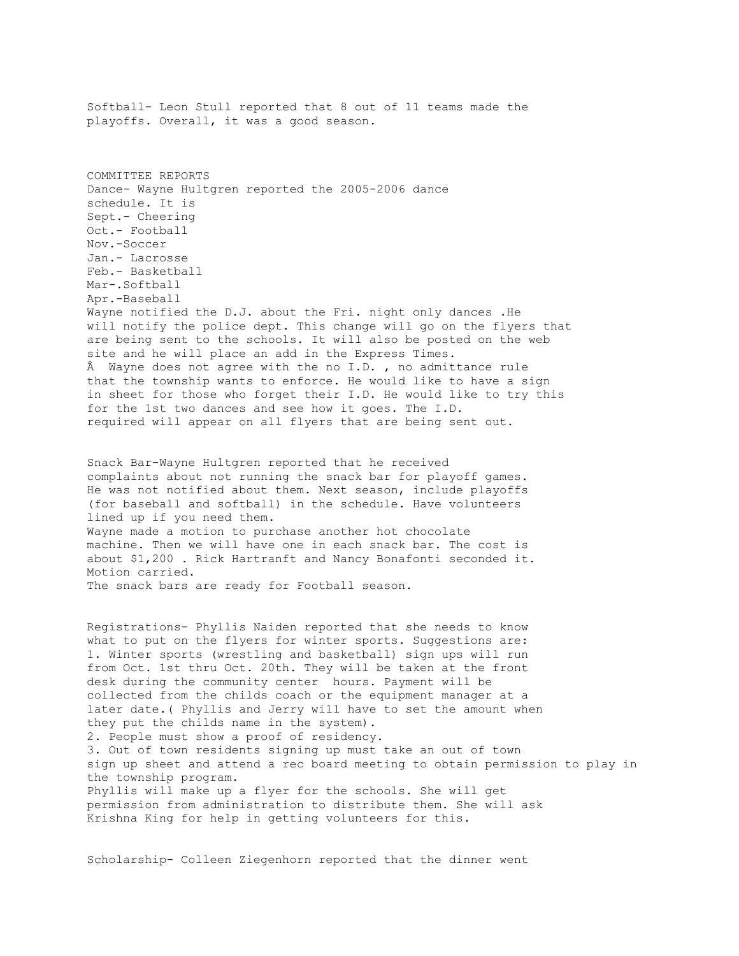Softball- Leon Stull reported that 8 out of 11 teams made the playoffs. Overall, it was a good season. COMMITTEE REPORTS Dance- Wayne Hultgren reported the 2005-2006 dance schedule. It is Sept.- Cheering Oct.- Football Nov.-Soccer Jan.- Lacrosse Feb.- Basketball Mar-.Softball Apr.-Baseball Wayne notified the D.J. about the Fri. night only dances .He will notify the police dept. This change will go on the flyers that are being sent to the schools. It will also be posted on the web site and he will place an add in the Express Times. Â Wayne does not agree with the no I.D. , no admittance rule that the township wants to enforce. He would like to have a sign in sheet for those who forget their I.D. He would like to try this for the 1st two dances and see how it goes. The I.D. required will appear on all flyers that are being sent out. Snack Bar-Wayne Hultgren reported that he received complaints about not running the snack bar for playoff games. He was not notified about them. Next season, include playoffs (for baseball and softball) in the schedule. Have volunteers lined up if you need them. Wayne made a motion to purchase another hot chocolate machine. Then we will have one in each snack bar. The cost is about \$1,200 . Rick Hartranft and Nancy Bonafonti seconded it. Motion carried. The snack bars are ready for Football season. Registrations- Phyllis Naiden reported that she needs to know what to put on the flyers for winter sports. Suggestions are: 1. Winter sports (wrestling and basketball) sign ups will run from Oct. 1st thru Oct. 20th. They will be taken at the front desk during the community center hours. Payment will be collected from the childs coach or the equipment manager at a later date.( Phyllis and Jerry will have to set the amount when they put the childs name in the system). 2. People must show a proof of residency. 3. Out of town residents signing up must take an out of town sign up sheet and attend a rec board meeting to obtain permission to play in the township program. Phyllis will make up a flyer for the schools. She will get permission from administration to distribute them. She will ask Krishna King for help in getting volunteers for this.

Scholarship- Colleen Ziegenhorn reported that the dinner went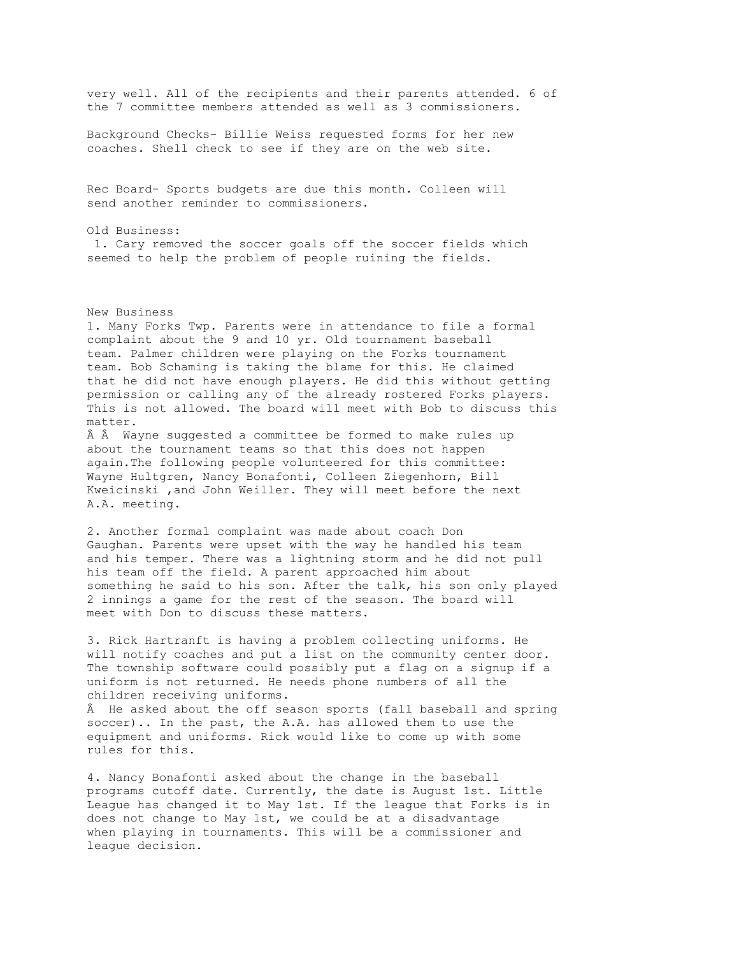very well. All of the recipients and their parents attended. 6 of the 7 committee members attended as well as 3 commissioners. Background Checks- Billie Weiss requested forms for her new coaches. Shell check to see if they are on the web site. Rec Board- Sports budgets are due this month. Colleen will send another reminder to commissioners. Old Business: 1. Cary removed the soccer goals off the soccer fields which seemed to help the problem of people ruining the fields. New Business 1. Many Forks Twp. Parents were in attendance to file a formal complaint about the 9 and 10 yr. Old tournament baseball team. Palmer children were playing on the Forks tournament team. Bob Schaming is taking the blame for this. He claimed that he did not have enough players. He did this without getting permission or calling any of the already rostered Forks players. This is not allowed. The board will meet with Bob to discuss this matter. Â Â Wayne suggested a committee be formed to make rules up about the tournament teams so that this does not happen again.The following people volunteered for this committee: Wayne Hultgren, Nancy Bonafonti, Colleen Ziegenhorn, Bill Kweicinski ,and John Weiller. They will meet before the next A.A. meeting. 2. Another formal complaint was made about coach Don Gaughan. Parents were upset with the way he handled his team and his temper. There was a lightning storm and he did not pull his team off the field. A parent approached him about something he said to his son. After the talk, his son only played 2 innings a game for the rest of the season. The board will meet with Don to discuss these matters. 3. Rick Hartranft is having a problem collecting uniforms. He

will notify coaches and put a list on the community center door. The township software could possibly put a flag on a signup if a uniform is not returned. He needs phone numbers of all the children receiving uniforms. Â He asked about the off season sports (fall baseball and spring

soccer).. In the past, the A.A. has allowed them to use the equipment and uniforms. Rick would like to come up with some rules for this.

4. Nancy Bonafonti asked about the change in the baseball programs cutoff date. Currently, the date is August 1st. Little League has changed it to May 1st. If the league that Forks is in does not change to May 1st, we could be at a disadvantage when playing in tournaments. This will be a commissioner and league decision.